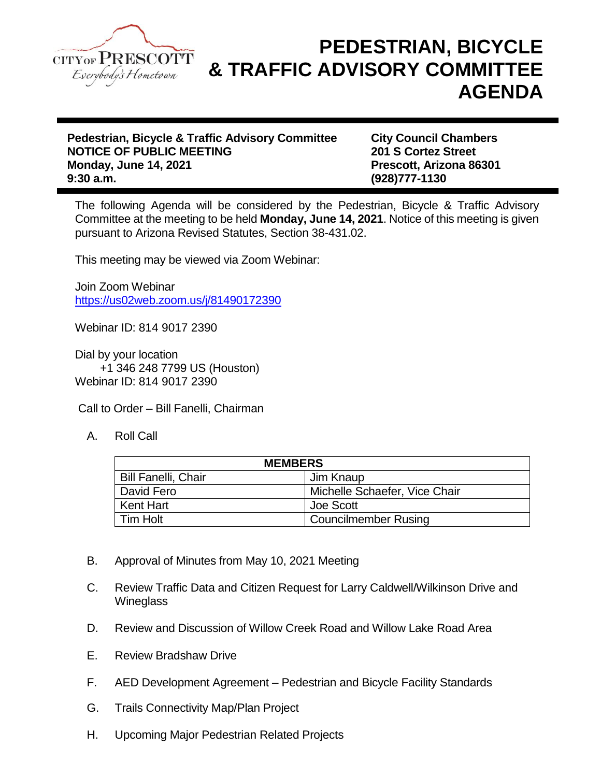

## **PEDESTRIAN, BICYCLE & TRAFFIC ADVISORY COMMITTEE AGENDA**

**Pedestrian, Bicycle & Traffic Advisory Committee City Council Chambers NOTICE OF PUBLIC MEETING 201 S Cortez Street Monday, June 14, 2021 Prescott, Arizona 86301 9:30 a.m. (928)777-1130**

The following Agenda will be considered by the Pedestrian, Bicycle & Traffic Advisory Committee at the meeting to be held **Monday, June 14, 2021**. Notice of this meeting is given pursuant to Arizona Revised Statutes, Section 38-431.02.

This meeting may be viewed via Zoom Webinar:

Join Zoom Webinar <https://us02web.zoom.us/j/81490172390>

Webinar ID: 814 9017 2390

Dial by your location +1 346 248 7799 US (Houston) Webinar ID: 814 9017 2390

Call to Order – Bill Fanelli, Chairman

A. Roll Call

| <b>MEMBERS</b>             |                               |
|----------------------------|-------------------------------|
| <b>Bill Fanelli, Chair</b> | Jim Knaup                     |
| David Fero                 | Michelle Schaefer, Vice Chair |
| Kent Hart                  | Joe Scott                     |
| l Tim Holt                 | <b>Councilmember Rusing</b>   |

- B. Approval of Minutes from May 10, 2021 Meeting
- C. Review Traffic Data and Citizen Request for Larry Caldwell/Wilkinson Drive and **Wineglass**
- D. Review and Discussion of Willow Creek Road and Willow Lake Road Area
- E. Review Bradshaw Drive
- F. AED Development Agreement Pedestrian and Bicycle Facility Standards
- G. Trails Connectivity Map/Plan Project
- H. Upcoming Major Pedestrian Related Projects